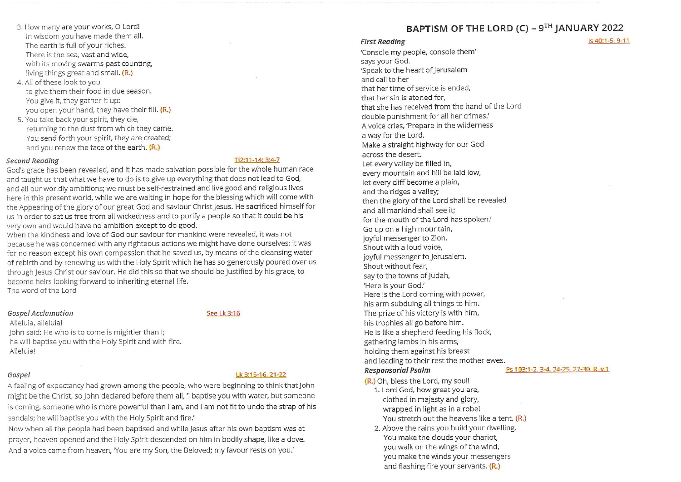- 3. How many are your works, O Lord! In wisdom you have made them all. The earth is full of your riches. There is the sea, vast and wide, with its moving swarms past counting, living things great and small. (R.)
- 4. All of these look to you to give them their food in due season. You give it, they gather it up: you open your hand, they have their fill. (R.)
- 5. You take back your spirit, they die, returning to the dust from which they came. You send forth your spirit, they are created; and you renew the face of the earth. (R.)

#### **Second Reading**

#### Ti2:11-14: 3:4-7

God's grace has been revealed, and it has made salvation possible for the whole human race and taught us that what we have to do is to give up everything that does not lead to God, and all our worldly ambitions; we must be self-restrained and live good and religious lives here in this present world, while we are waiting in hope for the blessing which will come with the Appearing of the glory of our great God and saviour Christ Jesus. He sacrificed himself for us in order to set us free from all wickedness and to purify a people so that it could be his very own and would have no ambition except to do good.

When the kindness and love of God our saviour for mankind were revealed, it was not because he was concerned with any righteous actions we might have done ourselves; it was for no reason except his own compassion that he saved us, by means of the cleansing water of rebirth and by renewing us with the Holy Spirit which he has so generously poured over us through lesus Christ our saviour. He did this so that we should be justified by his grace, to become heirs looking forward to inheriting eternal life.

The word of the Lord

#### **Gospel Acclamation**

#### See 1 k 3:16

Alleluia, alleluia! John said: He who is to come is mightier than I; he will baptise you with the Holy Spirit and with fire. Alleluia!

#### Gospel

### Lk 3:15-16, 21-22

A feeling of expectancy had grown among the people, who were beginning to think that John might be the Christ, so John declared before them all, 'I baptise you with water, but someone is coming, someone who is more powerful than I am, and I am not fit to undo the strap of his sandals; he will baptise you with the Holy Spirit and fire.'

Now when all the people had been baptised and while Jesus after his own baptism was at prayer, heaven opened and the Holy Spirit descended on him in bodily shape, like a dove. And a voice came from heaven, 'You are my Son, the Beloved; my favour rests on you.'

## BAPTISM OF THE LORD (C) - 9TH JANUARY 2022

 $Is 40:1-5.9-11$ 

#### **First Reading**

'Console my people, console them' says your God. 'Speak to the heart of Jerusalem and call to her that her time of service is ended, that her sin is atoned for. that she has received from the hand of the Lord double punishment for all her crimes.' A voice cries, 'Prepare in the wilderness a way for the Lord. Make a straight highway for our God across the desert. Let every valley be filled in, every mountain and hill be laid low, let every cliff become a plain, and the ridges a valley; then the glory of the Lord shall be revealed and all mankind shall see it; for the mouth of the Lord has spoken.' Go up on a high mountain, joyful messenger to Zion. Shout with a loud voice. jovful messenger to lerusalem. Shout without fear. say to the towns of Judah, 'Here is your God.' Here is the Lord coming with power, his arm subduing all things to him. The prize of his victory is with him, his trophies all go before him. He is like a shepherd feeding his flock, gathering lambs in his arms, holding them against his breast and leading to their rest the mother ewes. **Responsorial Psalm** 

#### Ps 103:1-2. 3-4. 24-25. 27-30. R. v.1

(R.) Oh, bless the Lord, my soul!

- 1. Lord God, how great you are, clothed in majesty and glory, wrapped in light as in a robe! You stretch out the heavens like a tent. (R.)
- 2. Above the rains you build your dwelling. You make the clouds your chariot, you walk on the wings of the wind, you make the winds your messengers and flashing fire your servants. (R.)